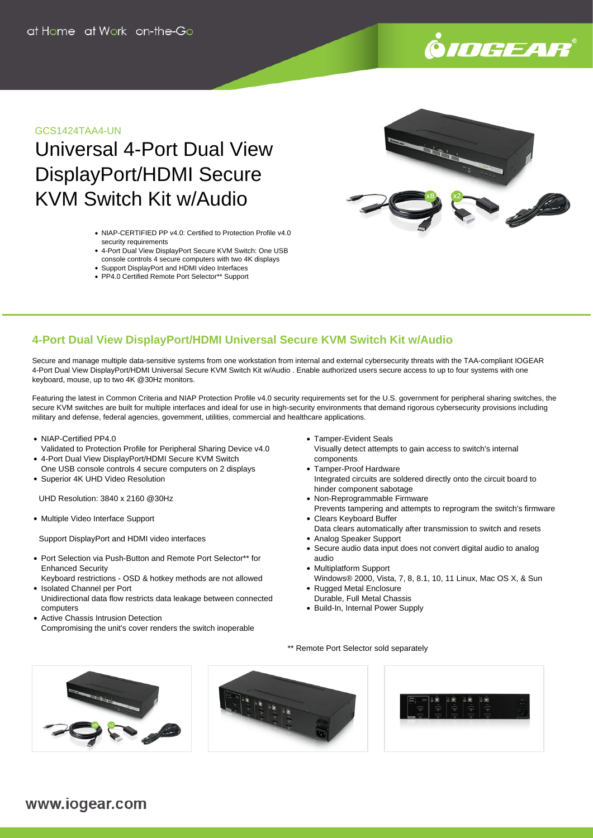# .<br>9*10GEAR*

#### GCS1424TAA4-UN

## Universal 4-Port Dual View DisplayPort/HDMI Secure KVM Switch Kit w/Audio

- NIAP-CERTIFIED PP v4.0: Certified to Protection Profile v4.0 security requirements
- 4-Port Dual View DisplayPort Secure KVM Switch: One USB console controls 4 secure computers with two 4K displays
- Support DisplayPort and HDMI video Interfaces
- PP4.0 Certified Remote Port Selector\*\* Support



#### **4-Port Dual View DisplayPort/HDMI Universal Secure KVM Switch Kit w/Audio**

Secure and manage multiple data-sensitive systems from one workstation from internal and external cybersecurity threats with the TAA-compliant IOGEAR 4-Port Dual View DisplayPort/HDMI Universal Secure KVM Switch Kit w/Audio . Enable authorized users secure access to up to four systems with one keyboard, mouse, up to two 4K @30Hz monitors.

Featuring the latest in Common Criteria and NIAP Protection Profile v4.0 security requirements set for the U.S. government for peripheral sharing switches, the secure KVM switches are built for multiple interfaces and ideal for use in high-security environments that demand rigorous cybersecurity provisions including military and defense, federal agencies, government, utilities, commercial and healthcare applications.

- NIAP-Certified PP4.0
- Validated to Protection Profile for Peripheral Sharing Device v4.0 4-Port Dual View DisplayPort/HDMI Secure KVM Switch
- One USB console controls 4 secure computers on 2 displays Superior 4K UHD Video Resolution

UHD Resolution: 3840 x 2160 @30Hz

• Multiple Video Interface Support

Support DisplayPort and HDMI video interfaces

- Port Selection via Push-Button and Remote Port Selector\*\* for Enhanced Security
- Keyboard restrictions OSD & hotkey methods are not allowed • Isolated Channel per Port
- Unidirectional data flow restricts data leakage between connected computers
- Active Chassis Intrusion Detection Compromising the unit's cover renders the switch inoperable
- Tamper-Evident Seals Visually detect attempts to gain access to switch's internal
- components Tamper-Proof Hardware Integrated circuits are soldered directly onto the circuit board to hinder component sabotage
- Non-Reprogrammable Firmware
- Prevents tampering and attempts to reprogram the switch's firmware Clears Keyboard Buffer
- Data clears automatically after transmission to switch and resets Analog Speaker Support
- Secure audio data input does not convert digital audio to analog audio
- Multiplatform Support
- Windows® 2000, Vista, 7, 8, 8.1, 10, 11 Linux, Mac OS X, & Sun • Rugged Metal Enclosure
- Durable, Full Metal Chassis
- Build-In, Internal Power Supply

\*\* Remote Port Selector sold separately





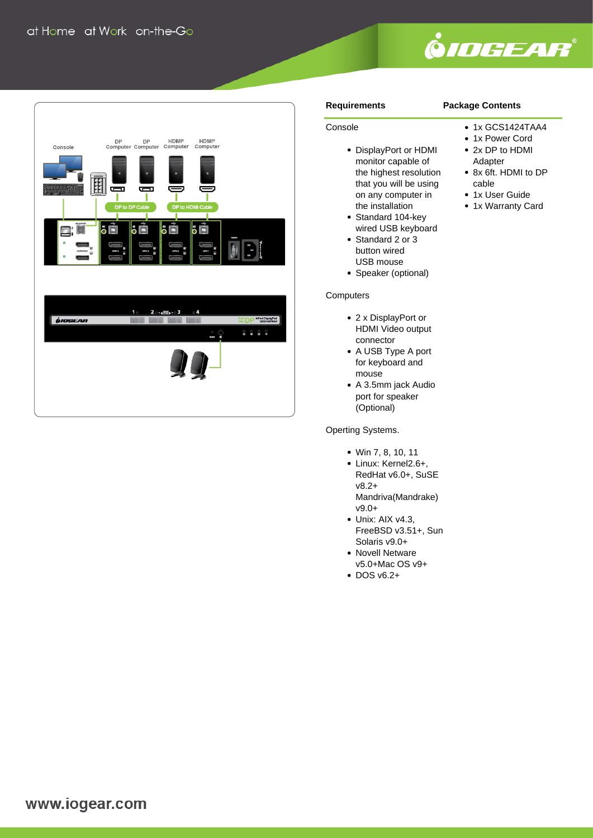

1x GCS1424TAA4 • 1x Power Cord 2x DP to HDMI Adapter

8x 6ft. HDMI to DP



#### **Requirements**

#### **Package Contents**

cable • 1x User Guide • 1x Warranty Card

### Console

- DisplayPort or HDMI monitor capable of the highest resolution that you will be using on any computer in the installation
- Standard 104-key wired USB keyboard
- Standard 2 or 3 button wired USB mouse
- Speaker (optional)

#### **Computers**

- 2 x DisplayPort or HDMI Video output connector
- A USB Type A port for keyboard and mouse
- A 3.5mm jack Audio port for speaker (Optional)

Operting Systems.

- Win 7, 8, 10, 11
- Linux: Kernel2.6+, RedHat v6.0+, SuSE v8.2+ Mandriva(Mandrake) v9.0+
- Unix: AIX v4.3, FreeBSD v3.51+, Sun Solaris v9.0+
- Novell Netware v5.0+Mac OS v9+
- DOS v6.2+